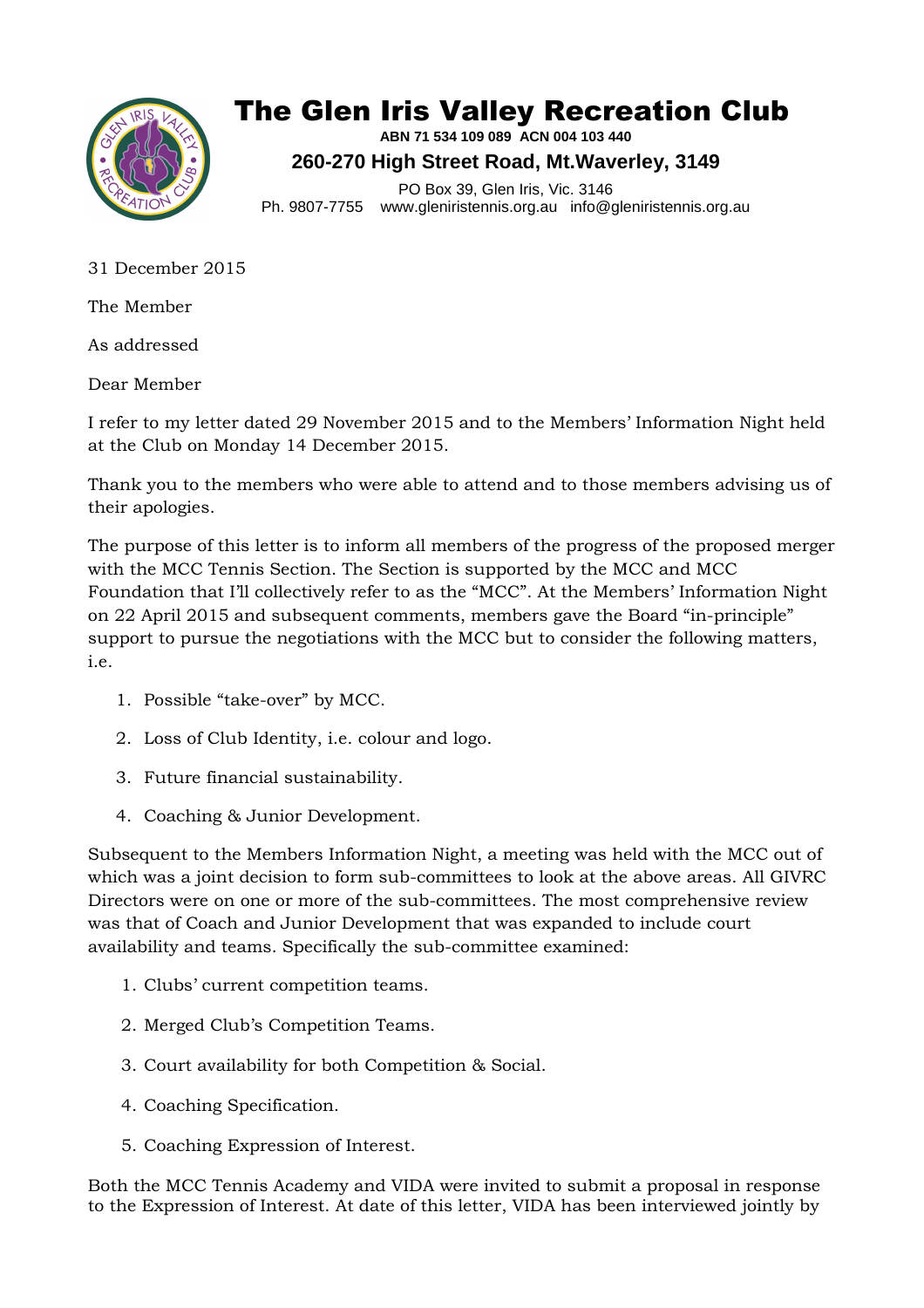

## The Glen Iris Valley Recreation Club

**ABN 71 534 109 089 ACN 004 103 440 260-270 High Street Road, Mt.Waverley, 3149** 

PO Box 39, Glen Iris, Vic. 3146 Ph. 9807-7755 www.gleniristennis.org.au info@gleniristennis.org.au

31 December 2015

The Member

As addressed

Dear Member

I refer to my letter dated 29 November 2015 and to the Members' Information Night held at the Club on Monday 14 December 2015.

Thank you to the members who were able to attend and to those members advising us of their apologies.

The purpose of this letter is to inform all members of the progress of the proposed merger with the MCC Tennis Section. The Section is supported by the MCC and MCC Foundation that I'll collectively refer to as the "MCC". At the Members' Information Night on 22 April 2015 and subsequent comments, members gave the Board "in-principle" support to pursue the negotiations with the MCC but to consider the following matters, i.e.

- 1. Possible "take-over" by MCC.
- 2. Loss of Club Identity, i.e. colour and logo.
- 3. Future financial sustainability.
- 4. Coaching & Junior Development.

Subsequent to the Members Information Night, a meeting was held with the MCC out of which was a joint decision to form sub-committees to look at the above areas. All GIVRC Directors were on one or more of the sub-committees. The most comprehensive review was that of Coach and Junior Development that was expanded to include court availability and teams. Specifically the sub-committee examined:

- 1. Clubs' current competition teams.
- 2. Merged Club's Competition Teams.
- 3. Court availability for both Competition & Social.
- 4. Coaching Specification.
- 5. Coaching Expression of Interest.

Both the MCC Tennis Academy and VIDA were invited to submit a proposal in response to the Expression of Interest. At date of this letter, VIDA has been interviewed jointly by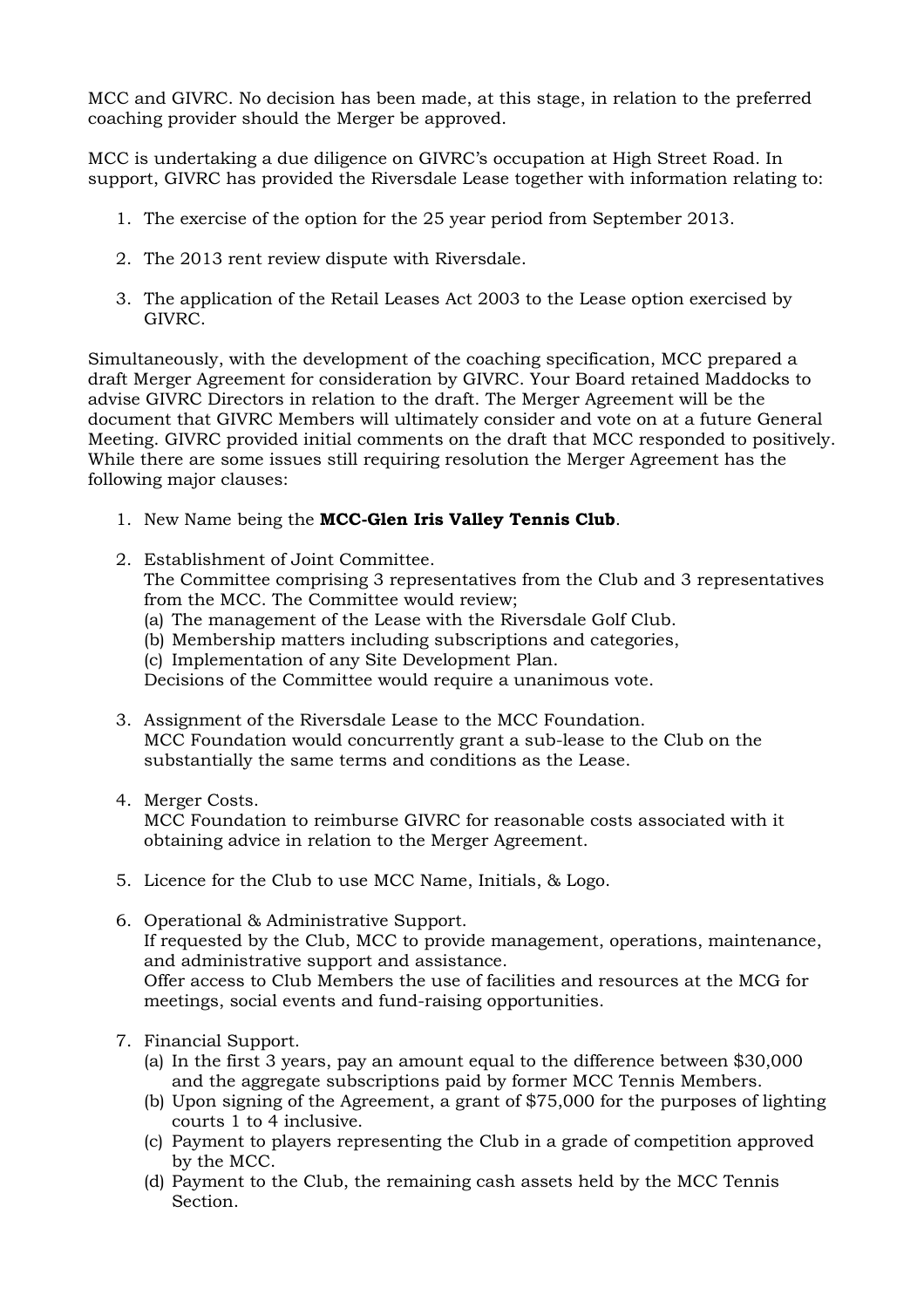MCC and GIVRC. No decision has been made, at this stage, in relation to the preferred coaching provider should the Merger be approved.

MCC is undertaking a due diligence on GIVRC's occupation at High Street Road. In support, GIVRC has provided the Riversdale Lease together with information relating to:

- 1. The exercise of the option for the 25 year period from September 2013.
- 2. The 2013 rent review dispute with Riversdale.
- 3. The application of the Retail Leases Act 2003 to the Lease option exercised by GIVRC.

Simultaneously, with the development of the coaching specification, MCC prepared a draft Merger Agreement for consideration by GIVRC. Your Board retained Maddocks to advise GIVRC Directors in relation to the draft. The Merger Agreement will be the document that GIVRC Members will ultimately consider and vote on at a future General Meeting. GIVRC provided initial comments on the draft that MCC responded to positively. While there are some issues still requiring resolution the Merger Agreement has the following major clauses:

- 1. New Name being the **MCC-Glen Iris Valley Tennis Club**.
- 2. Establishment of Joint Committee. The Committee comprising 3 representatives from the Club and 3 representatives from the MCC. The Committee would review; (a) The management of the Lease with the Riversdale Golf Club.
	- (b) Membership matters including subscriptions and categories,
	- (c) Implementation of any Site Development Plan.

Decisions of the Committee would require a unanimous vote.

- 3. Assignment of the Riversdale Lease to the MCC Foundation. MCC Foundation would concurrently grant a sub-lease to the Club on the substantially the same terms and conditions as the Lease.
- 4. Merger Costs.

MCC Foundation to reimburse GIVRC for reasonable costs associated with it obtaining advice in relation to the Merger Agreement.

- 5. Licence for the Club to use MCC Name, Initials, & Logo.
- 6. Operational & Administrative Support. If requested by the Club, MCC to provide management, operations, maintenance, and administrative support and assistance. Offer access to Club Members the use of facilities and resources at the MCG for meetings, social events and fund-raising opportunities.
- 7. Financial Support.
	- (a) In the first 3 years, pay an amount equal to the difference between \$30,000 and the aggregate subscriptions paid by former MCC Tennis Members.
	- (b) Upon signing of the Agreement, a grant of \$75,000 for the purposes of lighting courts 1 to 4 inclusive.
	- (c) Payment to players representing the Club in a grade of competition approved by the MCC.
	- (d) Payment to the Club, the remaining cash assets held by the MCC Tennis Section.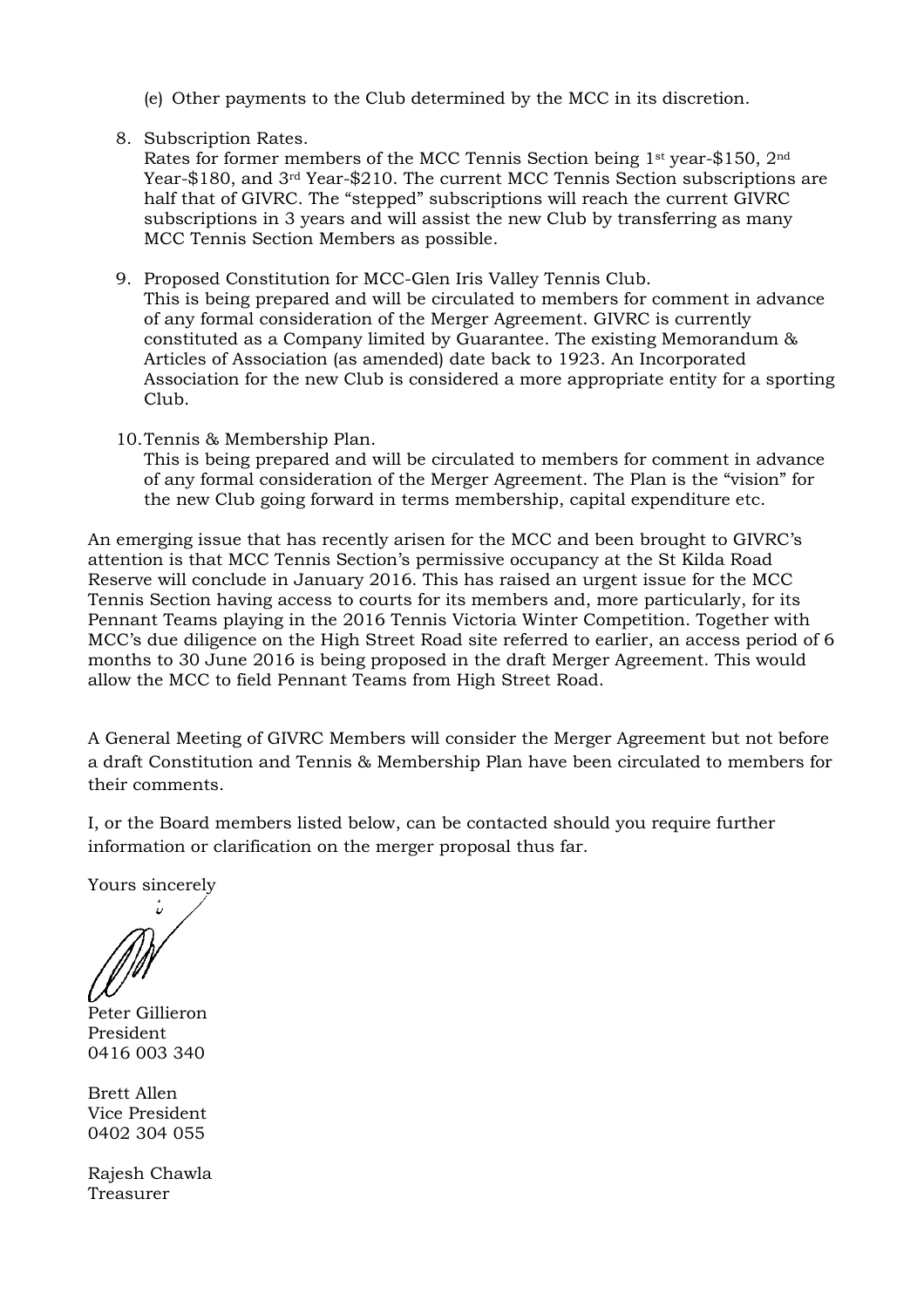- (e) Other payments to the Club determined by the MCC in its discretion.
- 8. Subscription Rates.

Rates for former members of the MCC Tennis Section being 1st year-\$150, 2nd Year-\$180, and 3rd Year-\$210. The current MCC Tennis Section subscriptions are half that of GIVRC. The "stepped" subscriptions will reach the current GIVRC subscriptions in 3 years and will assist the new Club by transferring as many MCC Tennis Section Members as possible.

- 9. Proposed Constitution for MCC-Glen Iris Valley Tennis Club. This is being prepared and will be circulated to members for comment in advance of any formal consideration of the Merger Agreement. GIVRC is currently constituted as a Company limited by Guarantee. The existing Memorandum & Articles of Association (as amended) date back to 1923. An Incorporated Association for the new Club is considered a more appropriate entity for a sporting Club.
- 10.Tennis & Membership Plan.

This is being prepared and will be circulated to members for comment in advance of any formal consideration of the Merger Agreement. The Plan is the "vision" for the new Club going forward in terms membership, capital expenditure etc.

An emerging issue that has recently arisen for the MCC and been brought to GIVRC's attention is that MCC Tennis Section's permissive occupancy at the St Kilda Road Reserve will conclude in January 2016. This has raised an urgent issue for the MCC Tennis Section having access to courts for its members and, more particularly, for its Pennant Teams playing in the 2016 Tennis Victoria Winter Competition. Together with MCC's due diligence on the High Street Road site referred to earlier, an access period of 6 months to 30 June 2016 is being proposed in the draft Merger Agreement. This would allow the MCC to field Pennant Teams from High Street Road.

A General Meeting of GIVRC Members will consider the Merger Agreement but not before a draft Constitution and Tennis & Membership Plan have been circulated to members for their comments.

I, or the Board members listed below, can be contacted should you require further information or clarification on the merger proposal thus far.

Yours sincerely

÷,

Peter Gillieron President 0416 003 340

Brett Allen Vice President 0402 304 055

Rajesh Chawla Treasurer